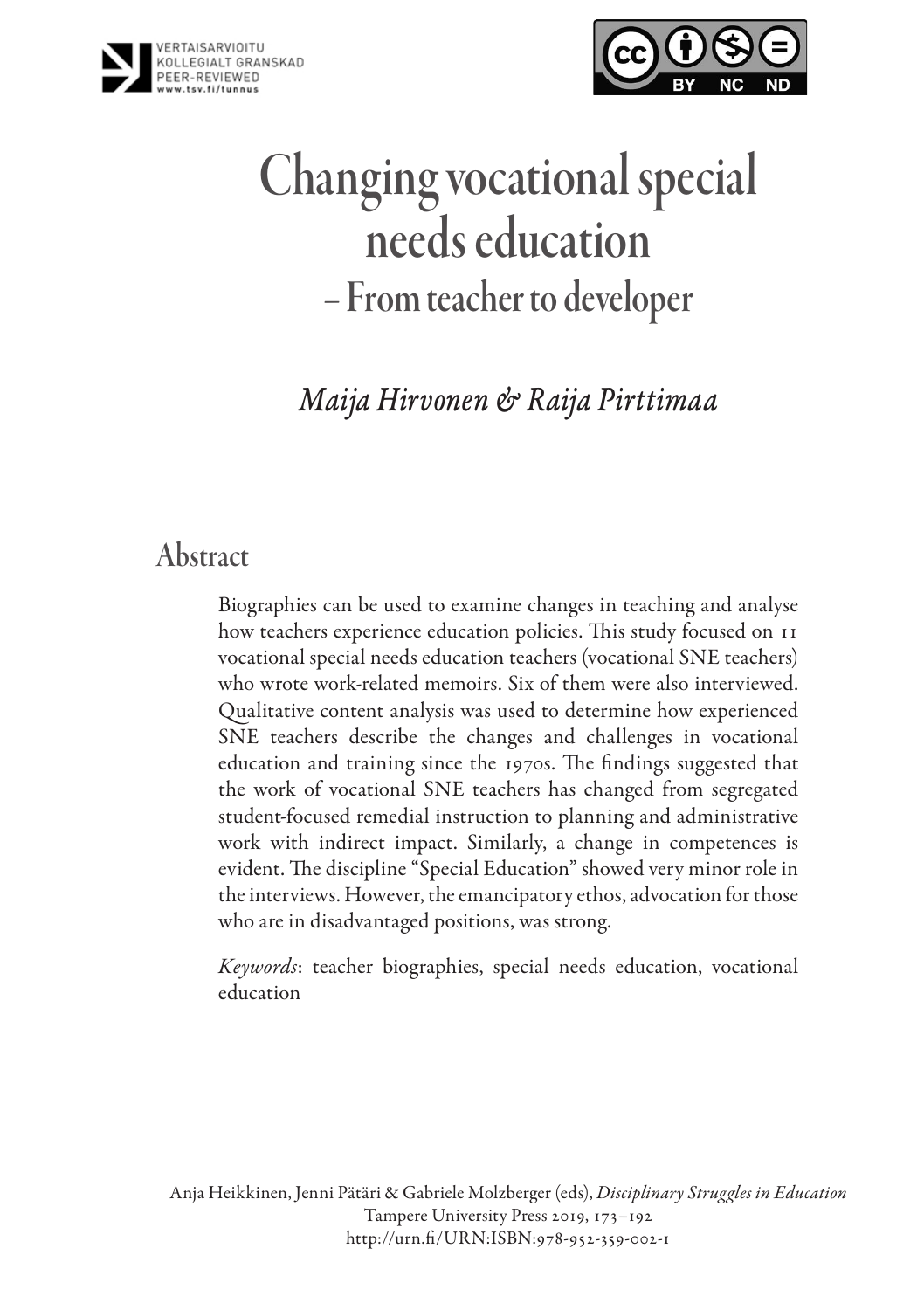



# Changing vocational special needs education – From teacher to developer

*Maija Hirvonen & Raija Pirttimaa*

# Abstract

Biographies can be used to examine changes in teaching and analyse how teachers experience education policies. This study focused on 11 vocational special needs education teachers (vocational SNE teachers) who wrote work-related memoirs. Six of them were also interviewed. Qualitative content analysis was used to determine how experienced SNE teachers describe the changes and challenges in vocational education and training since the 1970s. The findings suggested that the work of vocational SNE teachers has changed from segregated student-focused remedial instruction to planning and administrative work with indirect impact. Similarly, a change in competences is evident. The discipline "Special Education" showed very minor role in the interviews. However, the emancipatory ethos, advocation for those who are in disadvantaged positions, was strong.

*Keywords*: teacher biographies, special needs education, vocational education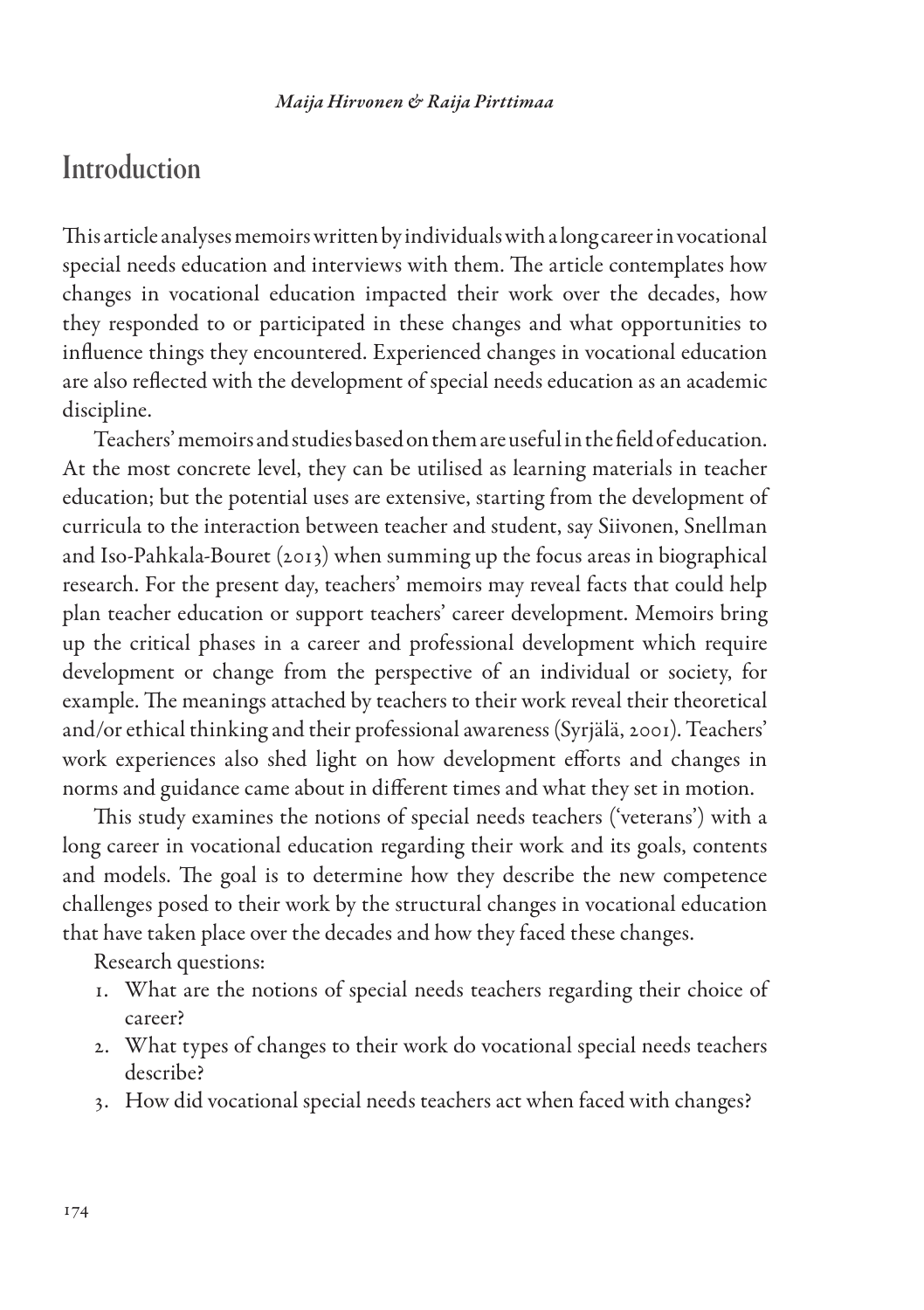### **Introduction**

This article analyses memoirs written by individuals with a long career in vocational special needs education and interviews with them. The article contemplates how changes in vocational education impacted their work over the decades, how they responded to or participated in these changes and what opportunities to influence things they encountered. Experienced changes in vocational education are also reflected with the development of special needs education as an academic discipline.

Teachers' memoirs and studies based on them are useful in the field of education. At the most concrete level, they can be utilised as learning materials in teacher education; but the potential uses are extensive, starting from the development of curricula to the interaction between teacher and student, say Siivonen, Snellman and Iso-Pahkala-Bouret (2013) when summing up the focus areas in biographical research. For the present day, teachers' memoirs may reveal facts that could help plan teacher education or support teachers' career development. Memoirs bring up the critical phases in a career and professional development which require development or change from the perspective of an individual or society, for example. The meanings attached by teachers to their work reveal their theoretical and/or ethical thinking and their professional awareness (Syrjälä, 2001). Teachers' work experiences also shed light on how development efforts and changes in norms and guidance came about in different times and what they set in motion.

This study examines the notions of special needs teachers ('veterans') with a long career in vocational education regarding their work and its goals, contents and models. The goal is to determine how they describe the new competence challenges posed to their work by the structural changes in vocational education that have taken place over the decades and how they faced these changes.

Research questions:

- 1. What are the notions of special needs teachers regarding their choice of career?
- 2. What types of changes to their work do vocational special needs teachers describe?
- 3. How did vocational special needs teachers act when faced with changes?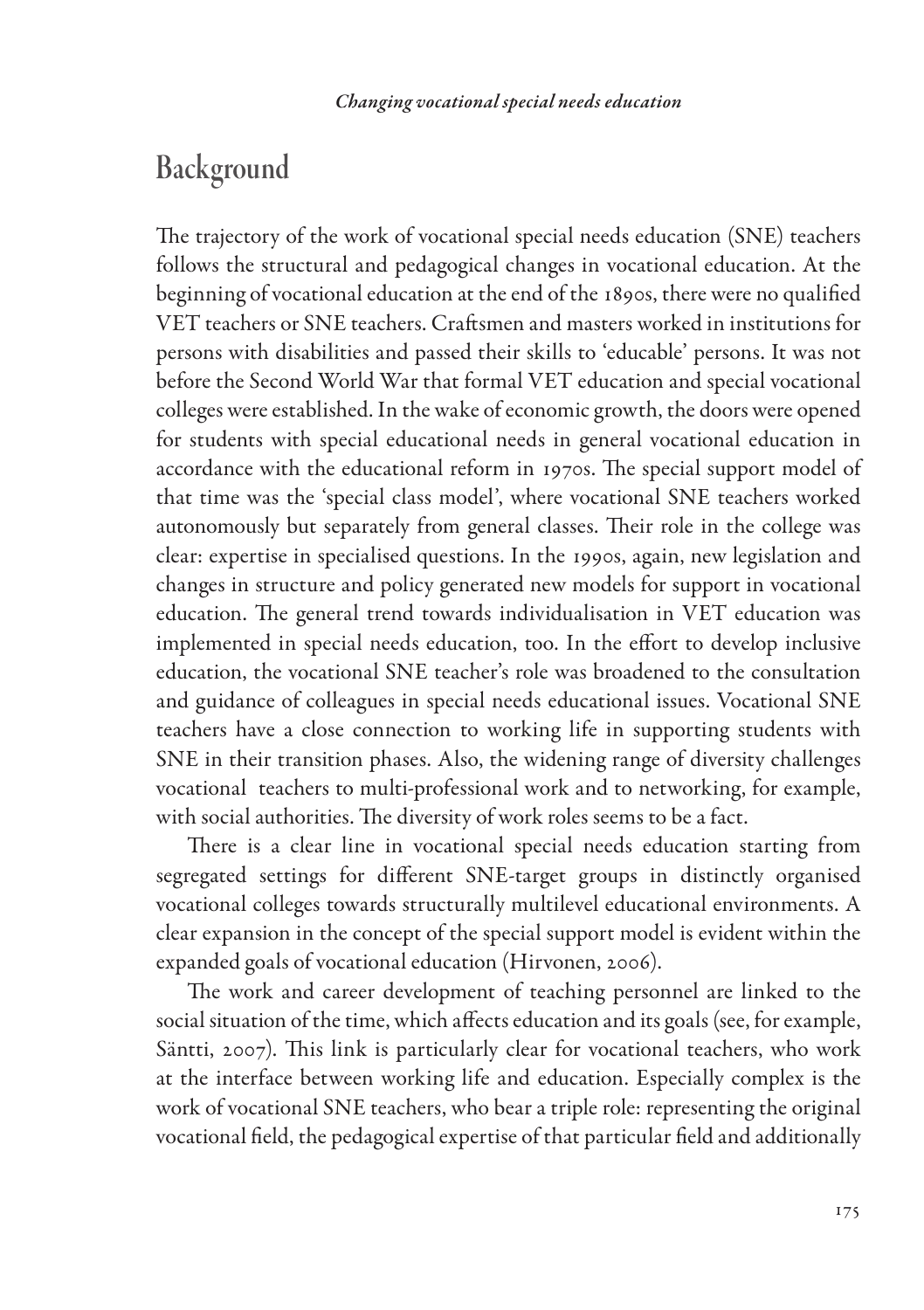# Background

The trajectory of the work of vocational special needs education (SNE) teachers follows the structural and pedagogical changes in vocational education. At the beginning of vocational education at the end of the 1890s, there were no qualified VET teachers or SNE teachers. Craftsmen and masters worked in institutions for persons with disabilities and passed their skills to 'educable' persons. It was not before the Second World War that formal VET education and special vocational colleges were established. In the wake of economic growth, the doors were opened for students with special educational needs in general vocational education in accordance with the educational reform in 1970s. The special support model of that time was the 'special class model', where vocational SNE teachers worked autonomously but separately from general classes. Their role in the college was clear: expertise in specialised questions. In the 1990s, again, new legislation and changes in structure and policy generated new models for support in vocational education. The general trend towards individualisation in VET education was implemented in special needs education, too. In the effort to develop inclusive education, the vocational SNE teacher's role was broadened to the consultation and guidance of colleagues in special needs educational issues. Vocational SNE teachers have a close connection to working life in supporting students with SNE in their transition phases. Also, the widening range of diversity challenges vocational teachers to multi-professional work and to networking, for example, with social authorities. The diversity of work roles seems to be a fact.

There is a clear line in vocational special needs education starting from segregated settings for different SNE-target groups in distinctly organised vocational colleges towards structurally multilevel educational environments. A clear expansion in the concept of the special support model is evident within the expanded goals of vocational education (Hirvonen, 2006).

The work and career development of teaching personnel are linked to the social situation of the time, which affects education and its goals (see, for example, Säntti, 2007). This link is particularly clear for vocational teachers, who work at the interface between working life and education. Especially complex is the work of vocational SNE teachers, who bear a triple role: representing the original vocational field, the pedagogical expertise of that particular field and additionally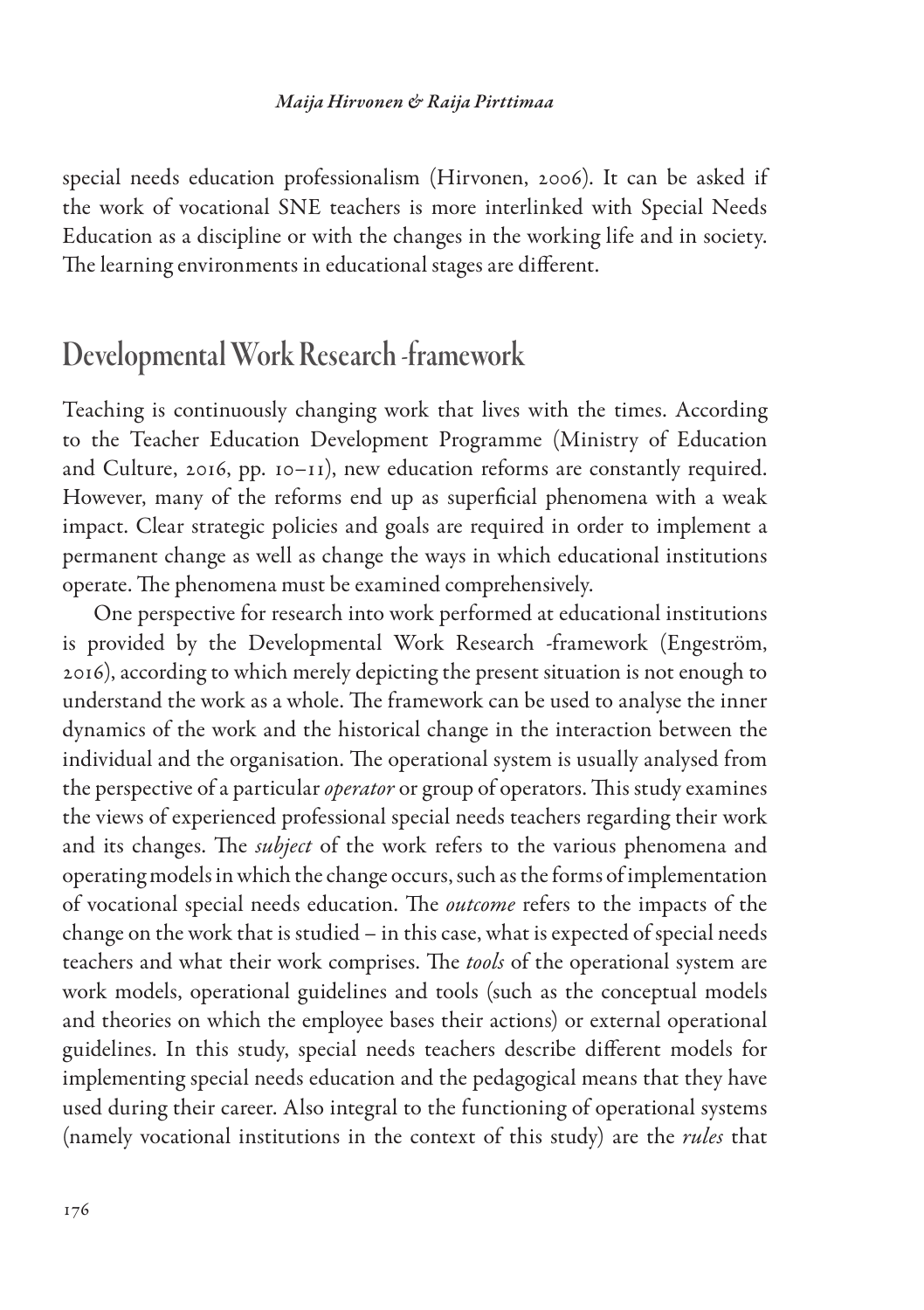special needs education professionalism (Hirvonen, 2006). It can be asked if the work of vocational SNE teachers is more interlinked with Special Needs Education as a discipline or with the changes in the working life and in society. The learning environments in educational stages are different.

### Developmental Work Research -framework

Teaching is continuously changing work that lives with the times. According to the Teacher Education Development Programme (Ministry of Education and Culture, 2016, pp. 10–11), new education reforms are constantly required. However, many of the reforms end up as superficial phenomena with a weak impact. Clear strategic policies and goals are required in order to implement a permanent change as well as change the ways in which educational institutions operate. The phenomena must be examined comprehensively.

One perspective for research into work performed at educational institutions is provided by the Developmental Work Research -framework (Engeström, 2016), according to which merely depicting the present situation is not enough to understand the work as a whole. The framework can be used to analyse the inner dynamics of the work and the historical change in the interaction between the individual and the organisation. The operational system is usually analysed from the perspective of a particular *operator* or group of operators. This study examines the views of experienced professional special needs teachers regarding their work and its changes. The *subject* of the work refers to the various phenomena and operating models in which the change occurs, such as the forms of implementation of vocational special needs education. The *outcome* refers to the impacts of the change on the work that is studied – in this case, what is expected of special needs teachers and what their work comprises. The *tools* of the operational system are work models, operational guidelines and tools (such as the conceptual models and theories on which the employee bases their actions) or external operational guidelines. In this study, special needs teachers describe different models for implementing special needs education and the pedagogical means that they have used during their career. Also integral to the functioning of operational systems (namely vocational institutions in the context of this study) are the *rules* that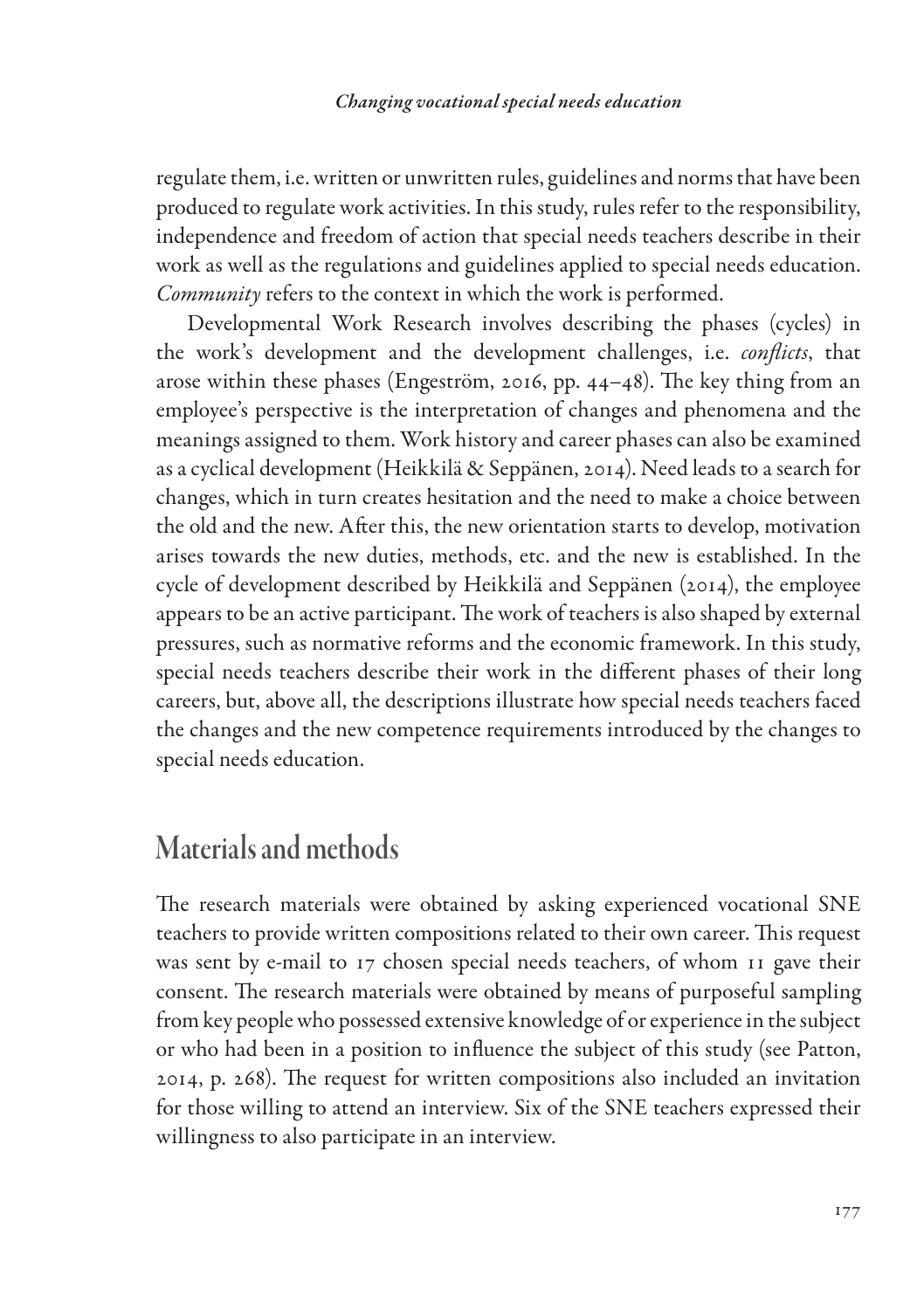regulate them, i.e. written or unwritten rules, guidelines and norms that have been produced to regulate work activities. In this study, rules refer to the responsibility, independence and freedom of action that special needs teachers describe in their work as well as the regulations and guidelines applied to special needs education. *Community* refers to the context in which the work is performed.

Developmental Work Research involves describing the phases (cycles) in the work's development and the development challenges, i.e. *conflicts*, that arose within these phases (Engeström, 2016, pp. 44–48). The key thing from an employee's perspective is the interpretation of changes and phenomena and the meanings assigned to them. Work history and career phases can also be examined as a cyclical development (Heikkilä & Seppänen, 2014). Need leads to a search for changes, which in turn creates hesitation and the need to make a choice between the old and the new. After this, the new orientation starts to develop, motivation arises towards the new duties, methods, etc. and the new is established. In the cycle of development described by Heikkilä and Seppänen (2014), the employee appears to be an active participant. The work of teachers is also shaped by external pressures, such as normative reforms and the economic framework. In this study, special needs teachers describe their work in the different phases of their long careers, but, above all, the descriptions illustrate how special needs teachers faced the changes and the new competence requirements introduced by the changes to special needs education.

## Materials and methods

The research materials were obtained by asking experienced vocational SNE teachers to provide written compositions related to their own career. This request was sent by e-mail to 17 chosen special needs teachers, of whom 11 gave their consent. The research materials were obtained by means of purposeful sampling from key people who possessed extensive knowledge of or experience in the subject or who had been in a position to influence the subject of this study (see Patton, 2014, p. 268). The request for written compositions also included an invitation for those willing to attend an interview. Six of the SNE teachers expressed their willingness to also participate in an interview.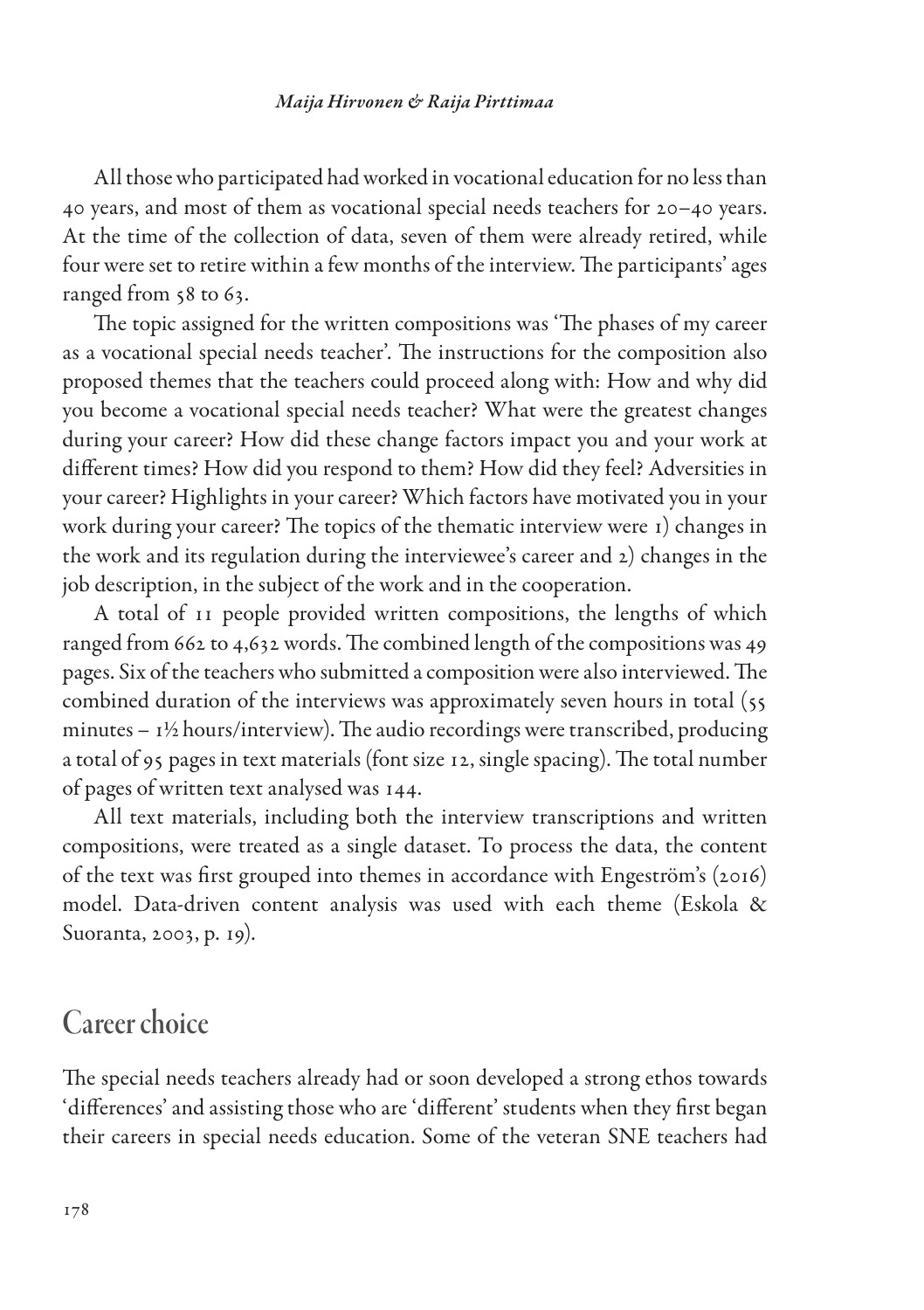All those who participated had worked in vocational education for no less than 40 years, and most of them as vocational special needs teachers for 20–40 years. At the time of the collection of data, seven of them were already retired, while four were set to retire within a few months of the interview. The participants' ages ranged from 58 to 63.

The topic assigned for the written compositions was 'The phases of my career as a vocational special needs teacher'. The instructions for the composition also proposed themes that the teachers could proceed along with: How and why did you become a vocational special needs teacher? What were the greatest changes during your career? How did these change factors impact you and your work at different times? How did you respond to them? How did they feel? Adversities in your career? Highlights in your career? Which factors have motivated you in your work during your career? The topics of the thematic interview were 1) changes in the work and its regulation during the interviewee's career and 2) changes in the job description, in the subject of the work and in the cooperation.

A total of 11 people provided written compositions, the lengths of which ranged from 662 to 4,632 words. The combined length of the compositions was 49 pages. Six of the teachers who submitted a composition were also interviewed. The combined duration of the interviews was approximately seven hours in total (55 minutes – 1½ hours/interview). The audio recordings were transcribed, producing a total of 95 pages in text materials (font size 12, single spacing). The total number of pages of written text analysed was 144.

All text materials, including both the interview transcriptions and written compositions, were treated as a single dataset. To process the data, the content of the text was first grouped into themes in accordance with Engeström's (2016) model. Data-driven content analysis was used with each theme (Eskola & Suoranta, 2003, p. 19).

### Career choice

The special needs teachers already had or soon developed a strong ethos towards 'differences' and assisting those who are 'different' students when they first began their careers in special needs education. Some of the veteran SNE teachers had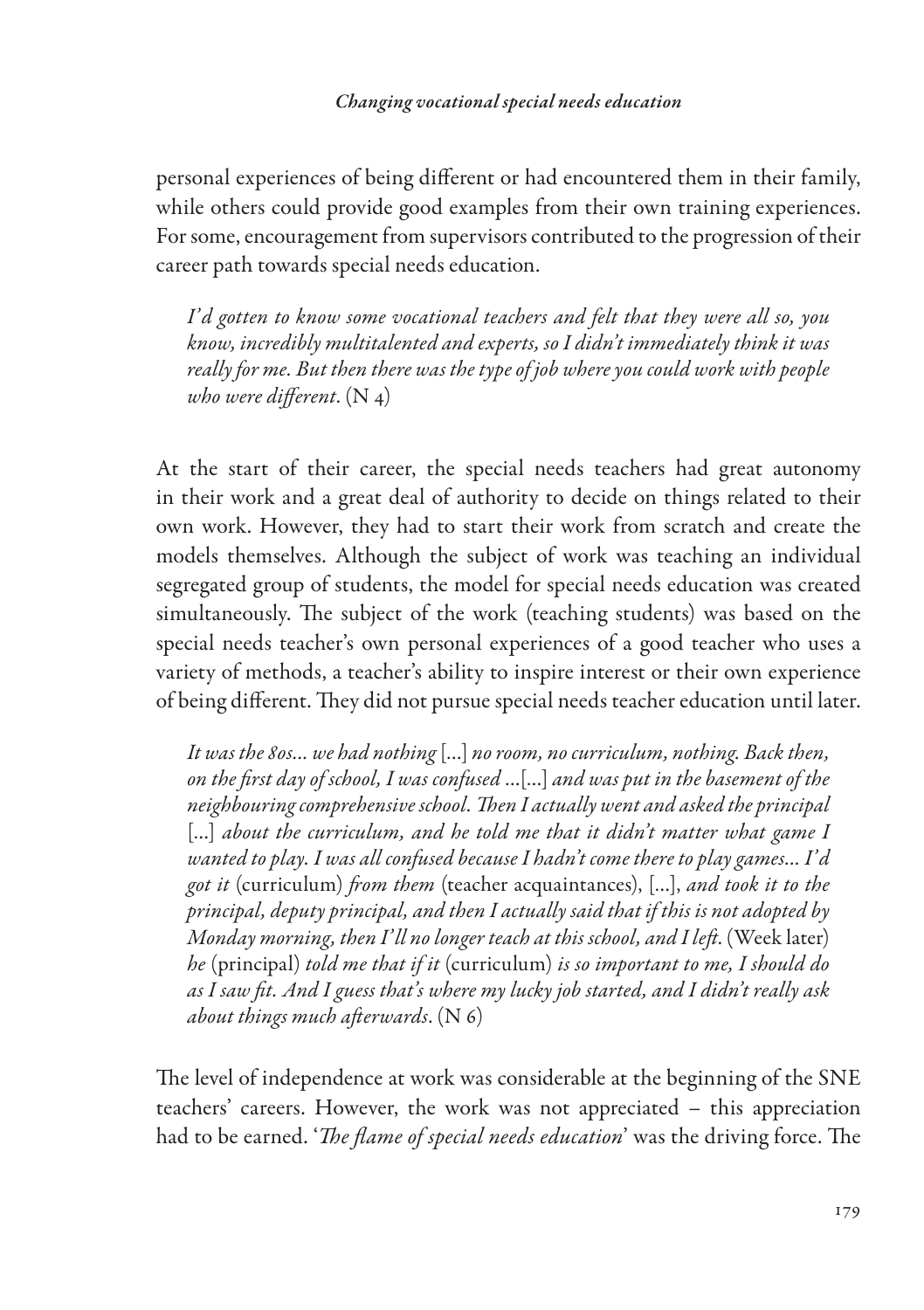personal experiences of being different or had encountered them in their family, while others could provide good examples from their own training experiences. For some, encouragement from supervisors contributed to the progression of their career path towards special needs education.

*I' d gotten to know some vocational teachers and felt that they were all so, you know, incredibly multitalented and experts, so I didn't immediately think it was really for me. But then there was the type of job where you could work with people who were different*. (N 4)

At the start of their career, the special needs teachers had great autonomy in their work and a great deal of authority to decide on things related to their own work. However, they had to start their work from scratch and create the models themselves. Although the subject of work was teaching an individual segregated group of students, the model for special needs education was created simultaneously. The subject of the work (teaching students) was based on the special needs teacher's own personal experiences of a good teacher who uses a variety of methods, a teacher's ability to inspire interest or their own experience of being different. They did not pursue special needs teacher education until later.

*It was the 80s... we had nothing* […] *no room, no curriculum, nothing. Back then, on the first day of school, I was confused* …[…] *and was put in the basement of the neighbouring comprehensive school. Then I actually went and asked the principal* [...] about the curriculum, and he told me that it didn't matter what game I *wanted to play. I was all confused because I hadn't come there to play games... I' d got it* (curriculum) *from them* (teacher acquaintances), […], *and took it to the principal, deputy principal, and then I actually said that if this is not adopted by Monday morning, then I' ll no longer teach at this school, and I left*. (Week later) *he* (principal) *told me that if it* (curriculum) *is so important to me, I should do as I saw fit. And I guess that's where my lucky job started, and I didn't really ask about things much afterwards*. (N 6)

The level of independence at work was considerable at the beginning of the SNE teachers' careers. However, the work was not appreciated – this appreciation had to be earned. '*The flame of special needs education*' was the driving force. The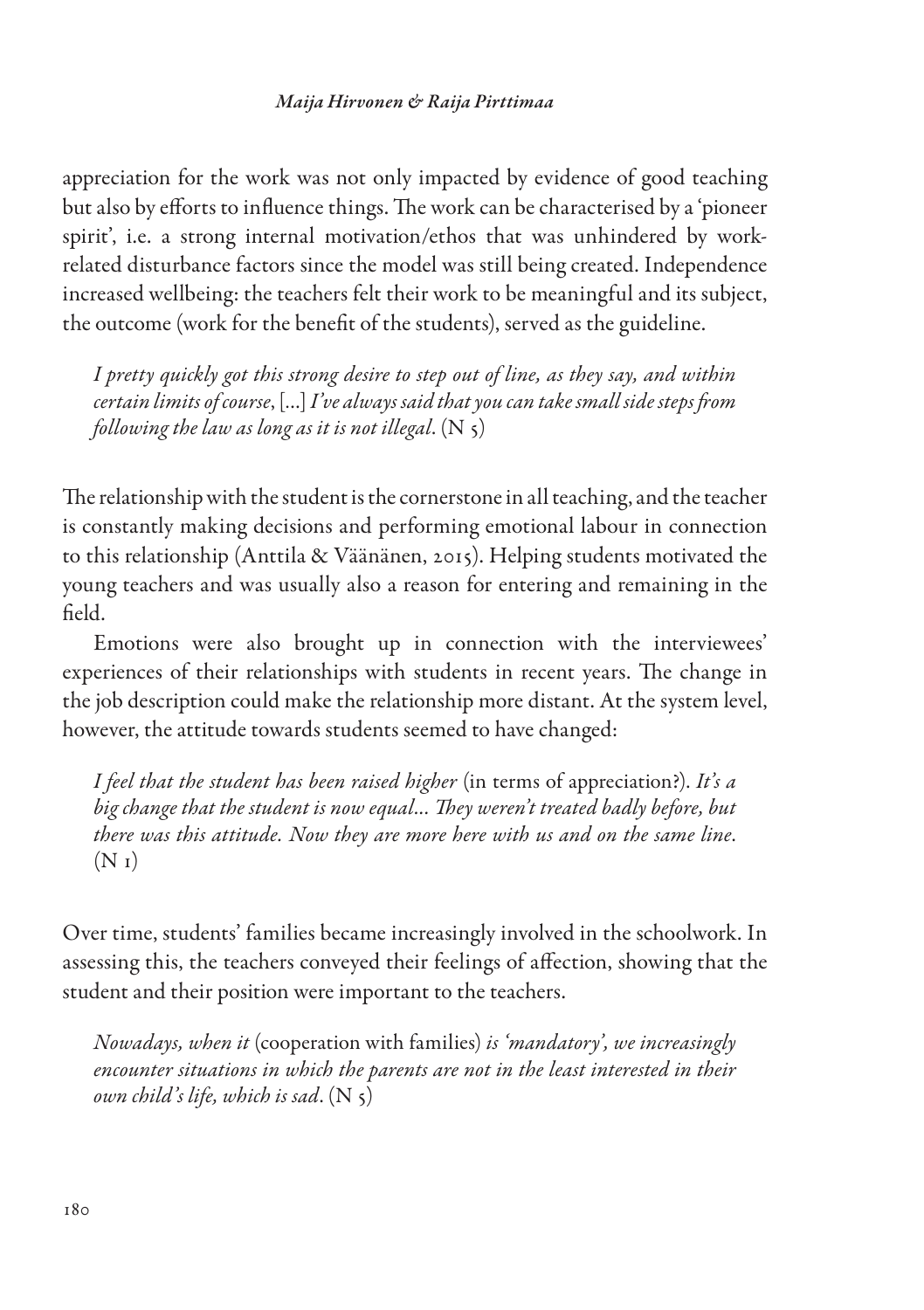appreciation for the work was not only impacted by evidence of good teaching but also by efforts to influence things. The work can be characterised by a 'pioneer spirit', i.e. a strong internal motivation/ethos that was unhindered by workrelated disturbance factors since the model was still being created. Independence increased wellbeing: the teachers felt their work to be meaningful and its subject, the outcome (work for the benefit of the students), served as the guideline.

*I pretty quickly got this strong desire to step out of line, as they say, and within certain limits of course*, […] *I've always said that you can take small side steps from following the law as long as it is not illegal*. (N 5)

The relationship with the student is the cornerstone in all teaching, and the teacher is constantly making decisions and performing emotional labour in connection to this relationship (Anttila & Väänänen, 2015). Helping students motivated the young teachers and was usually also a reason for entering and remaining in the field.

Emotions were also brought up in connection with the interviewees' experiences of their relationships with students in recent years. The change in the job description could make the relationship more distant. At the system level, however, the attitude towards students seemed to have changed:

*I feel that the student has been raised higher* (in terms of appreciation?). *It's a big change that the student is now equal... They weren't treated badly before, but there was this attitude. Now they are more here with us and on the same line*.  $(N_1)$ 

Over time, students' families became increasingly involved in the schoolwork. In assessing this, the teachers conveyed their feelings of affection, showing that the student and their position were important to the teachers.

*Nowadays, when it* (cooperation with families) *is 'mandatory', we increasingly encounter situations in which the parents are not in the least interested in their own child's life, which is sad*. (N 5)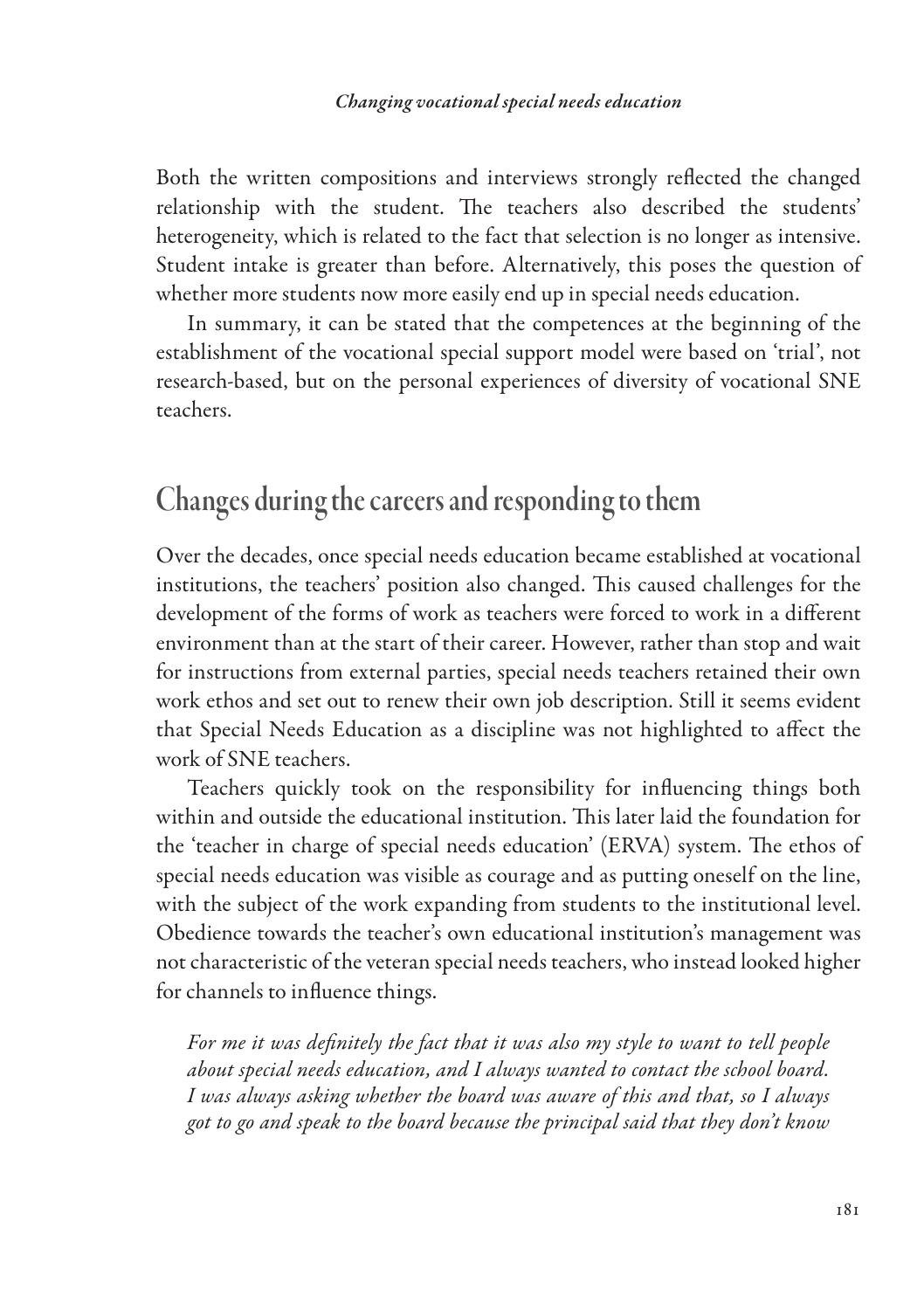Both the written compositions and interviews strongly reflected the changed relationship with the student. The teachers also described the students' heterogeneity, which is related to the fact that selection is no longer as intensive. Student intake is greater than before. Alternatively, this poses the question of whether more students now more easily end up in special needs education.

In summary, it can be stated that the competences at the beginning of the establishment of the vocational special support model were based on 'trial', not research-based, but on the personal experiences of diversity of vocational SNE teachers.

# Changes during the careers and responding to them

Over the decades, once special needs education became established at vocational institutions, the teachers' position also changed. This caused challenges for the development of the forms of work as teachers were forced to work in a different environment than at the start of their career. However, rather than stop and wait for instructions from external parties, special needs teachers retained their own work ethos and set out to renew their own job description. Still it seems evident that Special Needs Education as a discipline was not highlighted to affect the work of SNE teachers.

Teachers quickly took on the responsibility for influencing things both within and outside the educational institution. This later laid the foundation for the 'teacher in charge of special needs education' (ERVA) system. The ethos of special needs education was visible as courage and as putting oneself on the line, with the subject of the work expanding from students to the institutional level. Obedience towards the teacher's own educational institution's management was not characteristic of the veteran special needs teachers, who instead looked higher for channels to influence things.

*For me it was definitely the fact that it was also my style to want to tell people about special needs education, and I always wanted to contact the school board. I was always asking whether the board was aware of this and that, so I always got to go and speak to the board because the principal said that they don't know*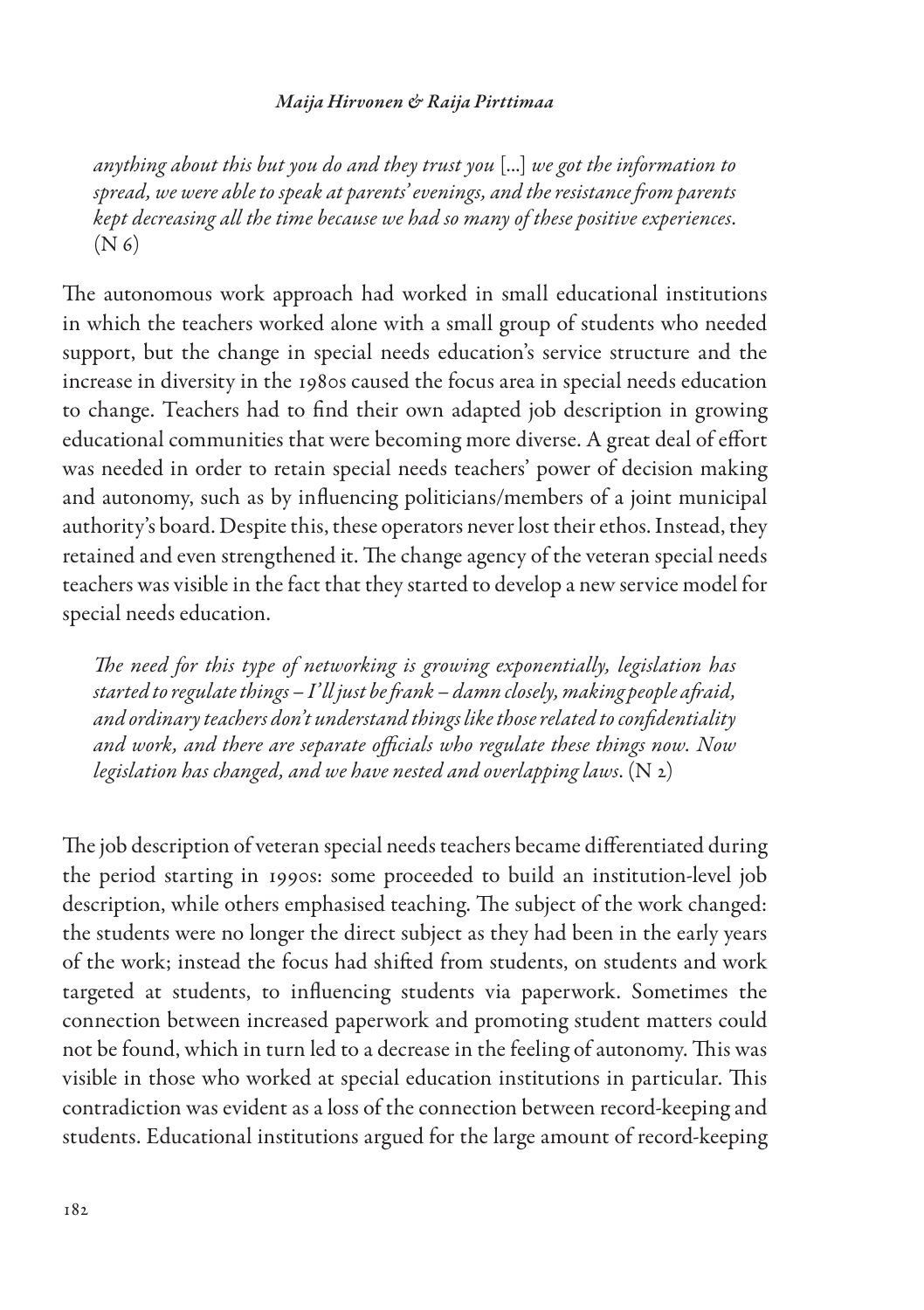*anything about this but you do and they trust you* [...] *we got the information to spread, we were able to speak at parents' evenings, and the resistance from parents kept decreasing all the time because we had so many of these positive experiences*.  $(N<sub>6</sub>)$ 

The autonomous work approach had worked in small educational institutions in which the teachers worked alone with a small group of students who needed support, but the change in special needs education's service structure and the increase in diversity in the 1980s caused the focus area in special needs education to change. Teachers had to find their own adapted job description in growing educational communities that were becoming more diverse. A great deal of effort was needed in order to retain special needs teachers' power of decision making and autonomy, such as by influencing politicians/members of a joint municipal authority's board. Despite this, these operators never lost their ethos. Instead, they retained and even strengthened it. The change agency of the veteran special needs teachers was visible in the fact that they started to develop a new service model for special needs education.

*The need for this type of networking is growing exponentially, legislation has started to regulate things – I' ll just be frank – damn closely, making people afraid, and ordinary teachers don't understand things like those related to confidentiality and work, and there are separate officials who regulate these things now. Now legislation has changed, and we have nested and overlapping laws*. (N 2)

The job description of veteran special needs teachers became differentiated during the period starting in 1990s: some proceeded to build an institution-level job description, while others emphasised teaching. The subject of the work changed: the students were no longer the direct subject as they had been in the early years of the work; instead the focus had shifted from students, on students and work targeted at students, to influencing students via paperwork. Sometimes the connection between increased paperwork and promoting student matters could not be found, which in turn led to a decrease in the feeling of autonomy. This was visible in those who worked at special education institutions in particular. This contradiction was evident as a loss of the connection between record-keeping and students. Educational institutions argued for the large amount of record-keeping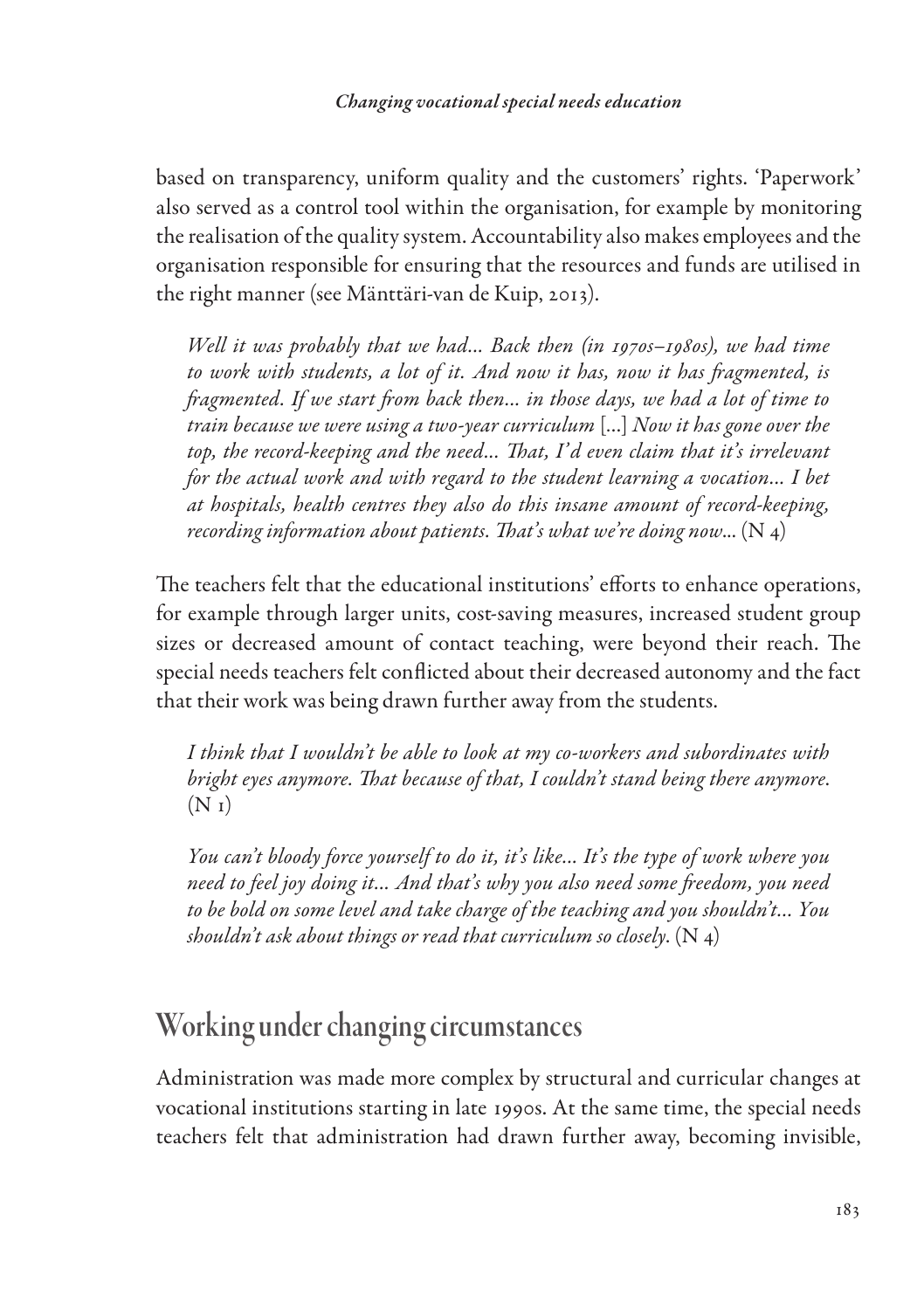based on transparency, uniform quality and the customers' rights. 'Paperwork' also served as a control tool within the organisation, for example by monitoring the realisation of the quality system. Accountability also makes employees and the organisation responsible for ensuring that the resources and funds are utilised in the right manner (see Mänttäri-van de Kuip, 2013).

*Well it was probably that we had... Back then (in 1970s–1980s), we had time to work with students, a lot of it. And now it has, now it has fragmented, is fragmented. If we start from back then... in those days, we had a lot of time to train because we were using a two-year curriculum* […] *Now it has gone over the*  top, the record-keeping and the need... That, I'd even claim that it's irrelevant *for the actual work and with regard to the student learning a vocation... I bet at hospitals, health centres they also do this insane amount of record-keeping, recording information about patients. That's what we're doing now*... (N 4)

The teachers felt that the educational institutions' efforts to enhance operations, for example through larger units, cost-saving measures, increased student group sizes or decreased amount of contact teaching, were beyond their reach. The special needs teachers felt conflicted about their decreased autonomy and the fact that their work was being drawn further away from the students.

*I think that I wouldn't be able to look at my co-workers and subordinates with bright eyes anymore. That because of that, I couldn't stand being there anymore*.  $(N_1)$ 

*You can't bloody force yourself to do it, it's like... It's the type of work where you need to feel joy doing it... And that's why you also need some freedom, you need to be bold on some level and take charge of the teaching and you shouldn't... You shouldn't ask about things or read that curriculum so closely*. (N 4)

# Working under changing circumstances

Administration was made more complex by structural and curricular changes at vocational institutions starting in late 1990s. At the same time, the special needs teachers felt that administration had drawn further away, becoming invisible,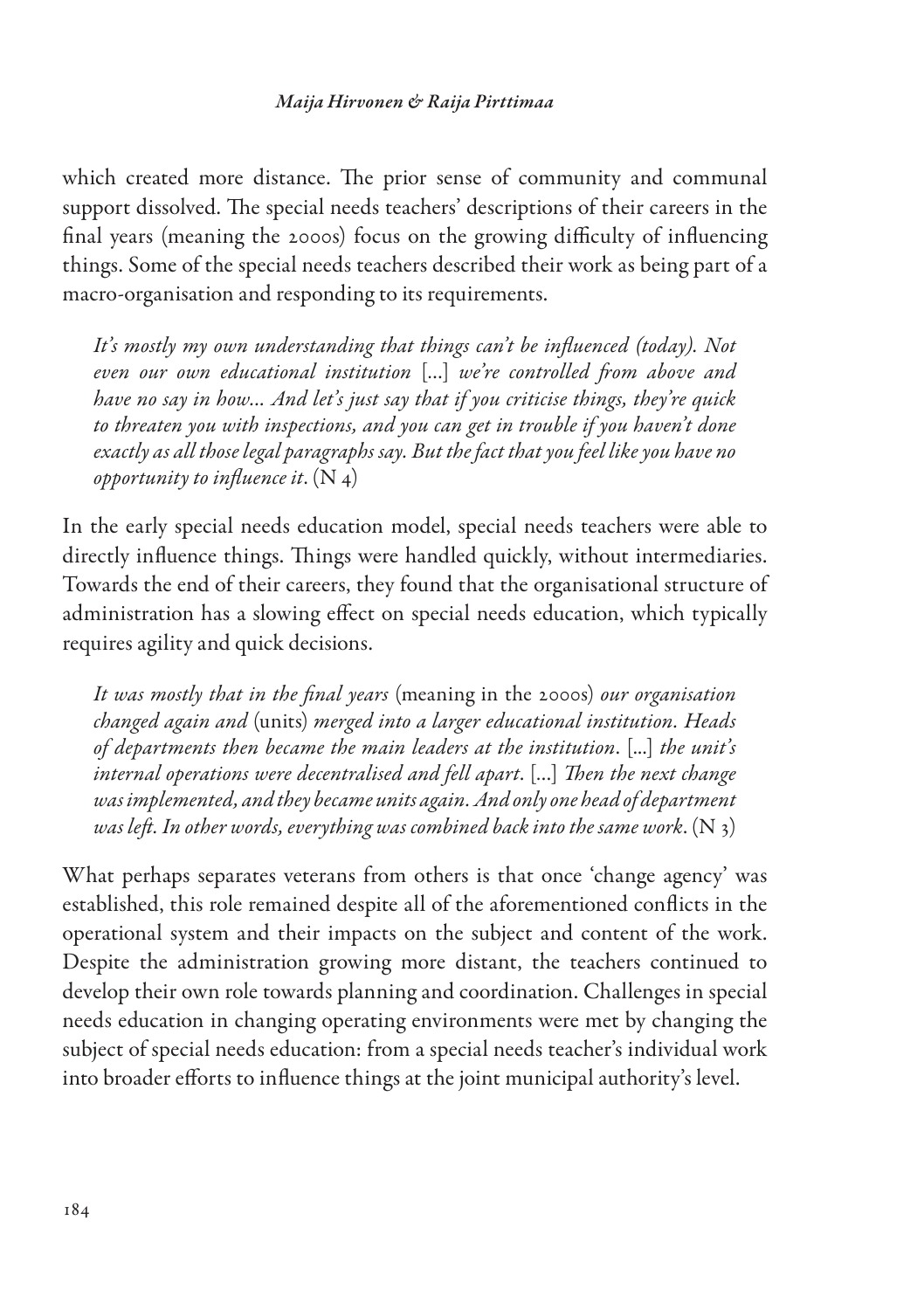which created more distance. The prior sense of community and communal support dissolved. The special needs teachers' descriptions of their careers in the final years (meaning the 2000s) focus on the growing difficulty of influencing things. Some of the special needs teachers described their work as being part of a macro-organisation and responding to its requirements.

*It's mostly my own understanding that things can't be influenced (today). Not even our own educational institution* […] *we're controlled from above and have no say in how... And let's just say that if you criticise things, they're quick to threaten you with inspections, and you can get in trouble if you haven't done exactly as all those legal paragraphs say. But the fact that you feel like you have no opportunity to influence it*. (N 4)

In the early special needs education model, special needs teachers were able to directly influence things. Things were handled quickly, without intermediaries. Towards the end of their careers, they found that the organisational structure of administration has a slowing effect on special needs education, which typically requires agility and quick decisions.

*It was mostly that in the final years* (meaning in the 2000s) *our organisation changed again and* (units) *merged into a larger educational institution. Heads of departments then became the main leaders at the institution*. [...] *the unit's internal operations were decentralised and fell apart*. […] *Then the next change was implemented, and they became units again. And only one head of department was left. In other words, everything was combined back into the same work*. (N 3)

What perhaps separates veterans from others is that once 'change agency' was established, this role remained despite all of the aforementioned conflicts in the operational system and their impacts on the subject and content of the work. Despite the administration growing more distant, the teachers continued to develop their own role towards planning and coordination. Challenges in special needs education in changing operating environments were met by changing the subject of special needs education: from a special needs teacher's individual work into broader efforts to influence things at the joint municipal authority's level.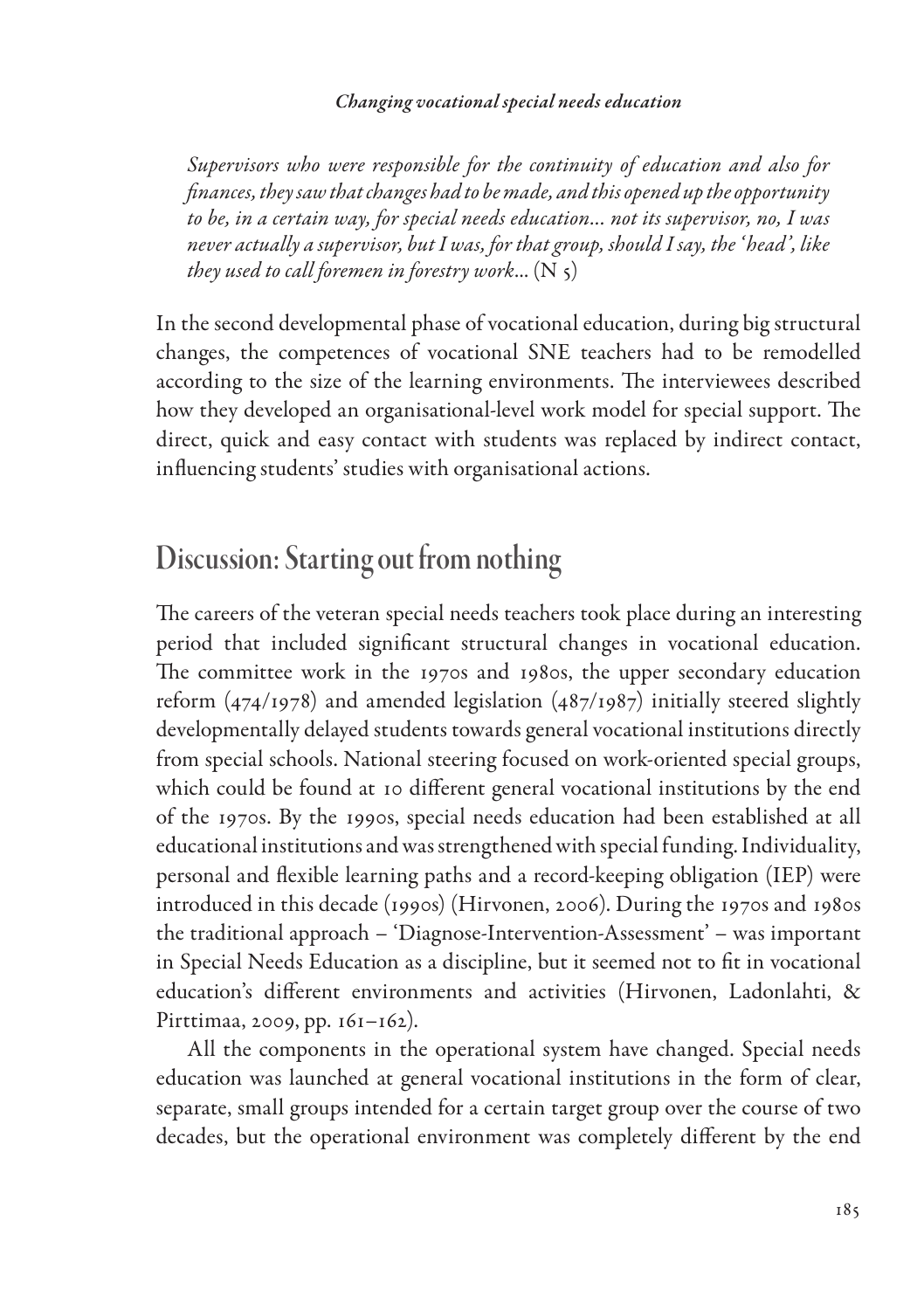#### *Changing vocational special needs education*

*Supervisors who were responsible for the continuity of education and also for finances, they saw that changes had to be made, and this opened up the opportunity to be, in a certain way, for special needs education... not its supervisor, no, I was never actually a supervisor, but I was, for that group, should I say, the ' head', like they used to call foremen in forestry work...*  $(N_5)$ 

In the second developmental phase of vocational education, during big structural changes, the competences of vocational SNE teachers had to be remodelled according to the size of the learning environments. The interviewees described how they developed an organisational-level work model for special support. The direct, quick and easy contact with students was replaced by indirect contact, influencing students' studies with organisational actions.

# Discussion: Starting out from nothing

The careers of the veteran special needs teachers took place during an interesting period that included significant structural changes in vocational education. The committee work in the 1970s and 1980s, the upper secondary education reform (474/1978) and amended legislation (487/1987) initially steered slightly developmentally delayed students towards general vocational institutions directly from special schools. National steering focused on work-oriented special groups, which could be found at 10 different general vocational institutions by the end of the 1970s. By the 1990s, special needs education had been established at all educational institutions and was strengthened with special funding. Individuality, personal and flexible learning paths and a record-keeping obligation (IEP) were introduced in this decade (1990s) (Hirvonen, 2006). During the 1970s and 1980s the traditional approach – 'Diagnose-Intervention-Assessment' – was important in Special Needs Education as a discipline, but it seemed not to fit in vocational education's different environments and activities (Hirvonen, Ladonlahti, & Pirttimaa, 2009, pp. 161–162).

All the components in the operational system have changed. Special needs education was launched at general vocational institutions in the form of clear, separate, small groups intended for a certain target group over the course of two decades, but the operational environment was completely different by the end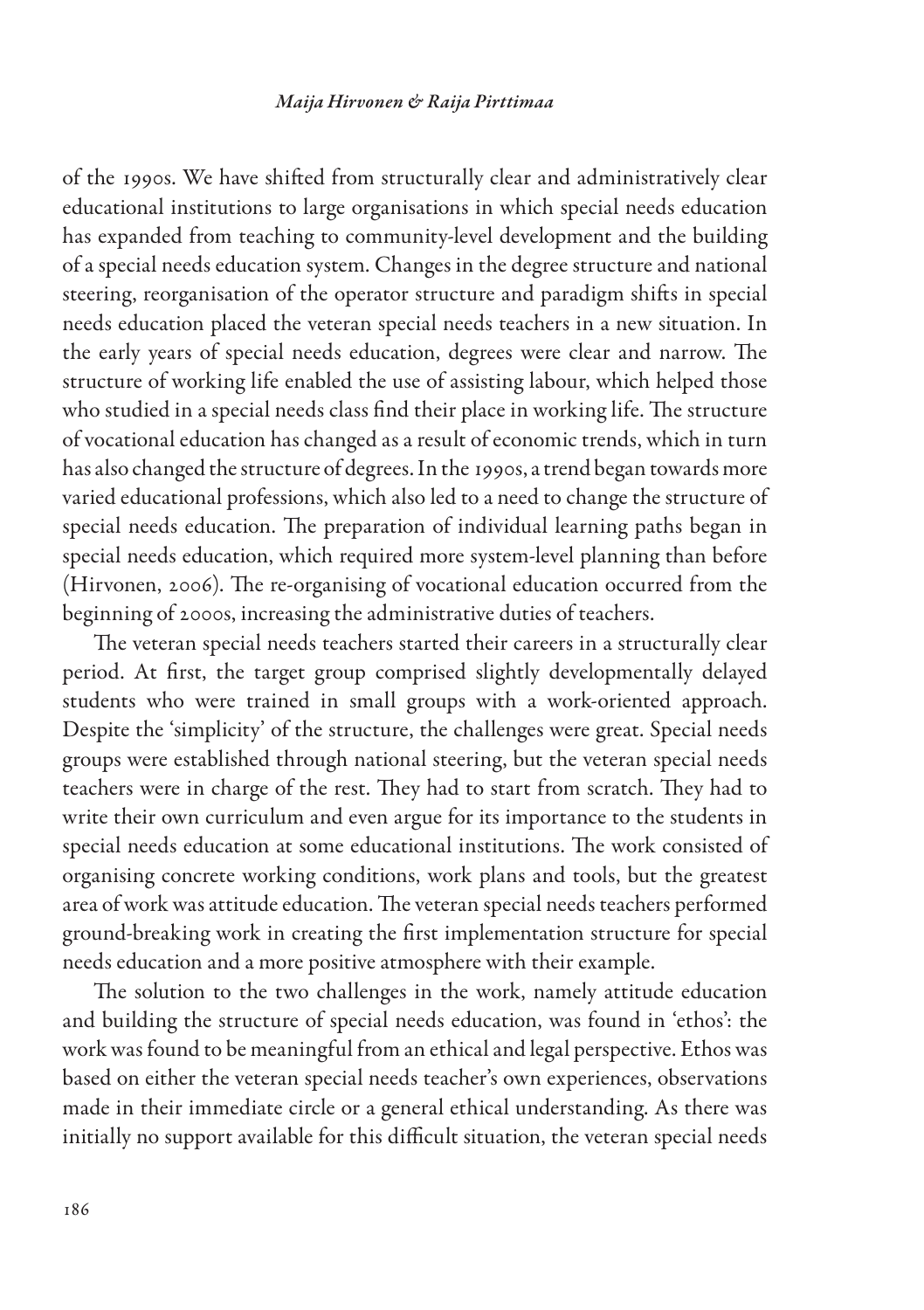of the 1990s. We have shifted from structurally clear and administratively clear educational institutions to large organisations in which special needs education has expanded from teaching to community-level development and the building of a special needs education system. Changes in the degree structure and national steering, reorganisation of the operator structure and paradigm shifts in special needs education placed the veteran special needs teachers in a new situation. In the early years of special needs education, degrees were clear and narrow. The structure of working life enabled the use of assisting labour, which helped those who studied in a special needs class find their place in working life. The structure of vocational education has changed as a result of economic trends, which in turn has also changed the structure of degrees. In the 1990s, a trend began towards more varied educational professions, which also led to a need to change the structure of special needs education. The preparation of individual learning paths began in special needs education, which required more system-level planning than before (Hirvonen, 2006). The re-organising of vocational education occurred from the beginning of 2000s, increasing the administrative duties of teachers.

The veteran special needs teachers started their careers in a structurally clear period. At first, the target group comprised slightly developmentally delayed students who were trained in small groups with a work-oriented approach. Despite the 'simplicity' of the structure, the challenges were great. Special needs groups were established through national steering, but the veteran special needs teachers were in charge of the rest. They had to start from scratch. They had to write their own curriculum and even argue for its importance to the students in special needs education at some educational institutions. The work consisted of organising concrete working conditions, work plans and tools, but the greatest area of work was attitude education. The veteran special needs teachers performed ground-breaking work in creating the first implementation structure for special needs education and a more positive atmosphere with their example.

The solution to the two challenges in the work, namely attitude education and building the structure of special needs education, was found in 'ethos': the work was found to be meaningful from an ethical and legal perspective. Ethos was based on either the veteran special needs teacher's own experiences, observations made in their immediate circle or a general ethical understanding. As there was initially no support available for this difficult situation, the veteran special needs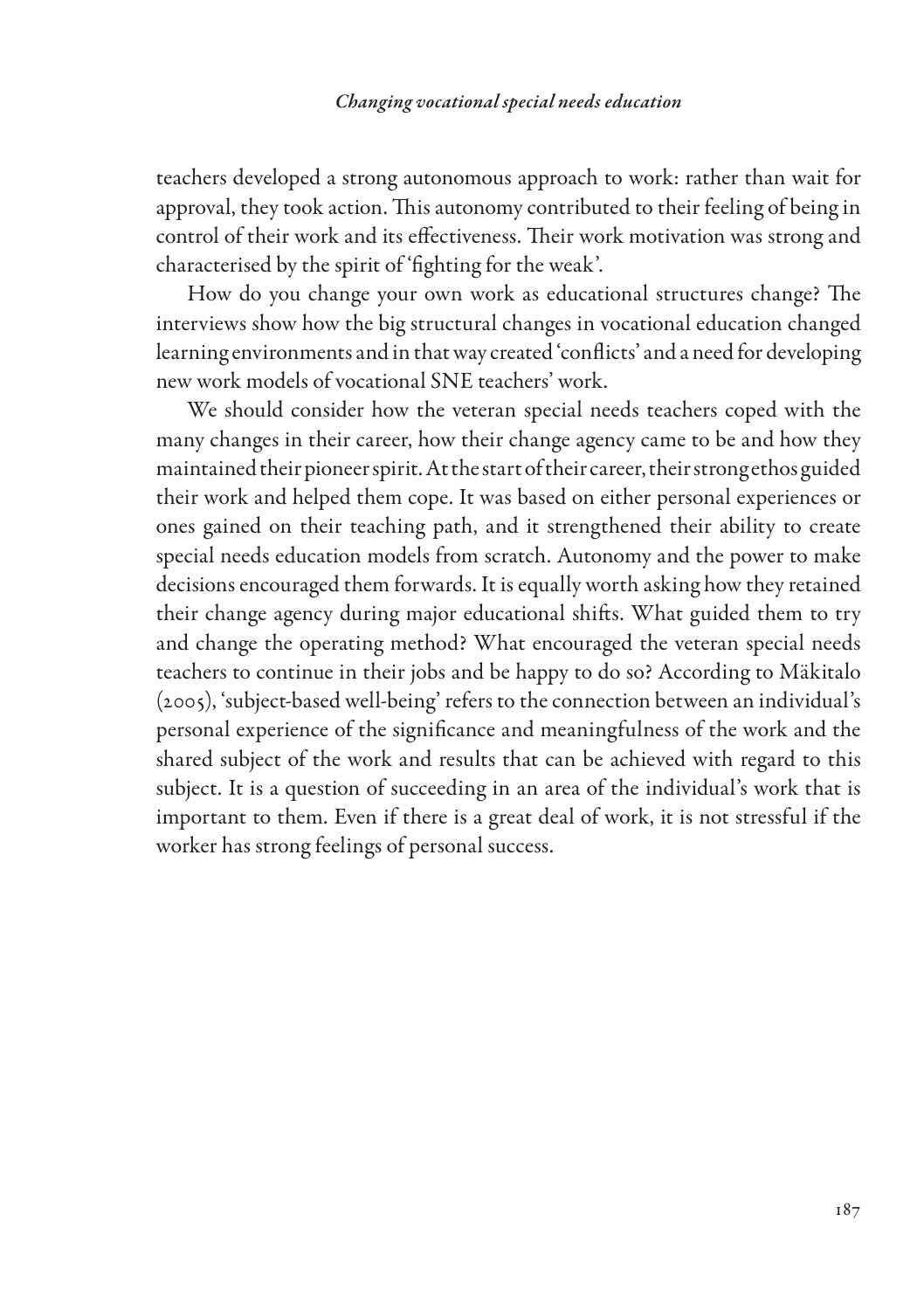teachers developed a strong autonomous approach to work: rather than wait for approval, they took action. This autonomy contributed to their feeling of being in control of their work and its effectiveness. Their work motivation was strong and characterised by the spirit of 'fighting for the weak'.

How do you change your own work as educational structures change? The interviews show how the big structural changes in vocational education changed learning environments and in that way created 'conflicts' and a need for developing new work models of vocational SNE teachers' work.

We should consider how the veteran special needs teachers coped with the many changes in their career, how their change agency came to be and how they maintained their pioneer spirit. At the start of their career, their strong ethos guided their work and helped them cope. It was based on either personal experiences or ones gained on their teaching path, and it strengthened their ability to create special needs education models from scratch. Autonomy and the power to make decisions encouraged them forwards. It is equally worth asking how they retained their change agency during major educational shifts. What guided them to try and change the operating method? What encouraged the veteran special needs teachers to continue in their jobs and be happy to do so? According to Mäkitalo (2005), 'subject-based well-being' refers to the connection between an individual's personal experience of the significance and meaningfulness of the work and the shared subject of the work and results that can be achieved with regard to this subject. It is a question of succeeding in an area of the individual's work that is important to them. Even if there is a great deal of work, it is not stressful if the worker has strong feelings of personal success.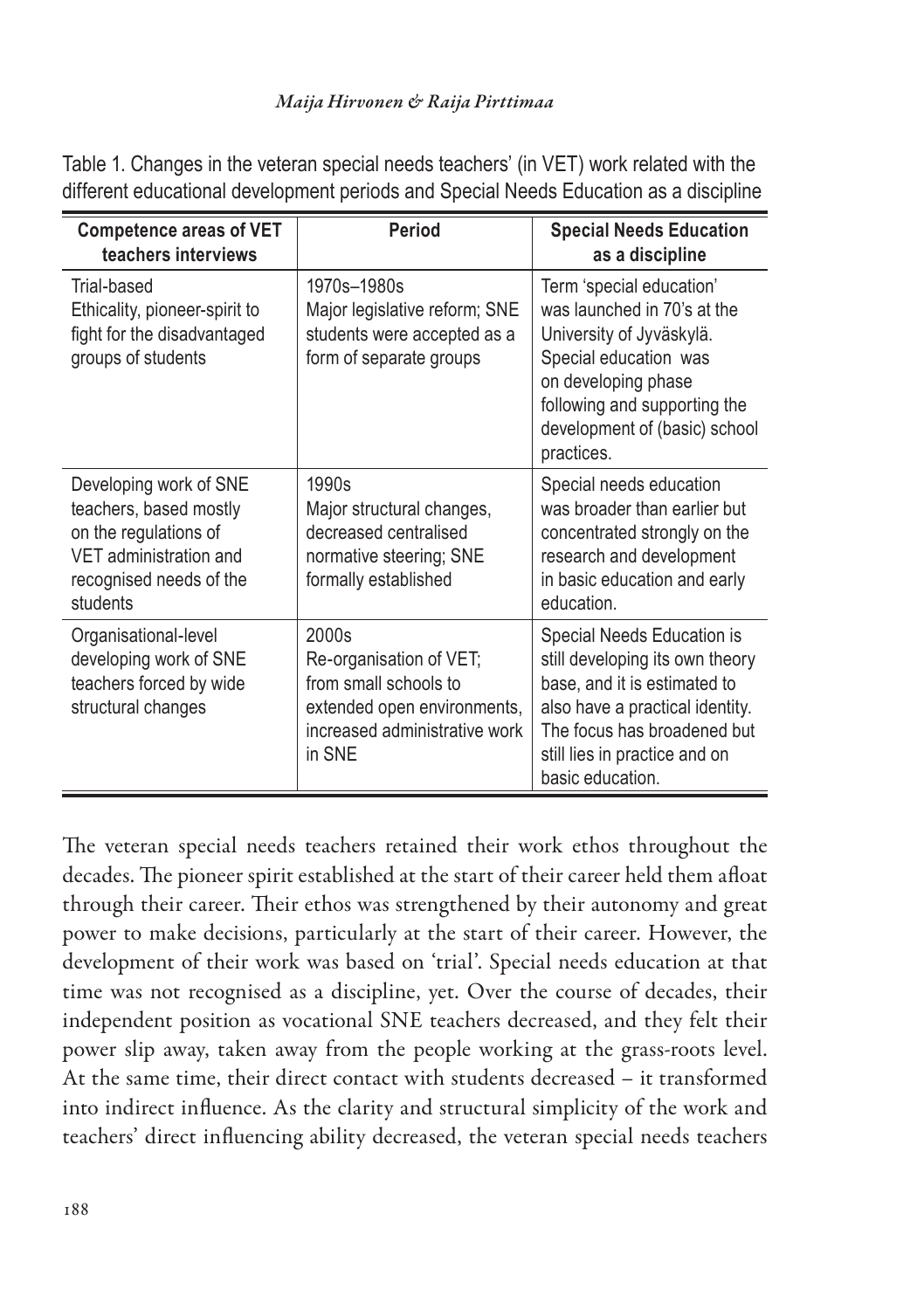Table 1. Changes in the veteran special needs teachers' (in VET) work related with the different educational development periods and Special Needs Education as a discipline

| <b>Competence areas of VET</b><br>teachers interviews                                                                                      | Period                                                                                                                              | <b>Special Needs Education</b><br>as a discipline                                                                                                                                                                    |
|--------------------------------------------------------------------------------------------------------------------------------------------|-------------------------------------------------------------------------------------------------------------------------------------|----------------------------------------------------------------------------------------------------------------------------------------------------------------------------------------------------------------------|
| Trial-based<br>Ethicality, pioneer-spirit to<br>fight for the disadvantaged<br>groups of students                                          | 1970s-1980s<br>Major legislative reform; SNE<br>students were accepted as a<br>form of separate groups                              | Term 'special education'<br>was launched in 70's at the<br>University of Jyväskylä.<br>Special education was<br>on developing phase<br>following and supporting the<br>development of (basic) school<br>practices.   |
| Developing work of SNE<br>teachers, based mostly<br>on the regulations of<br>VET administration and<br>recognised needs of the<br>students | 1990s<br>Major structural changes,<br>decreased centralised<br>normative steering; SNE<br>formally established                      | Special needs education<br>was broader than earlier but<br>concentrated strongly on the<br>research and development<br>in basic education and early<br>education.                                                    |
| Organisational-level<br>developing work of SNE<br>teachers forced by wide<br>structural changes                                            | 2000s<br>Re-organisation of VET;<br>from small schools to<br>extended open environments,<br>increased administrative work<br>in SNF | Special Needs Education is<br>still developing its own theory<br>base, and it is estimated to<br>also have a practical identity.<br>The focus has broadened but<br>still lies in practice and on<br>basic education. |

The veteran special needs teachers retained their work ethos throughout the decades. The pioneer spirit established at the start of their career held them afloat through their career. Their ethos was strengthened by their autonomy and great power to make decisions, particularly at the start of their career. However, the development of their work was based on 'trial'. Special needs education at that time was not recognised as a discipline, yet. Over the course of decades, their independent position as vocational SNE teachers decreased, and they felt their power slip away, taken away from the people working at the grass-roots level. At the same time, their direct contact with students decreased – it transformed into indirect influence. As the clarity and structural simplicity of the work and teachers' direct influencing ability decreased, the veteran special needs teachers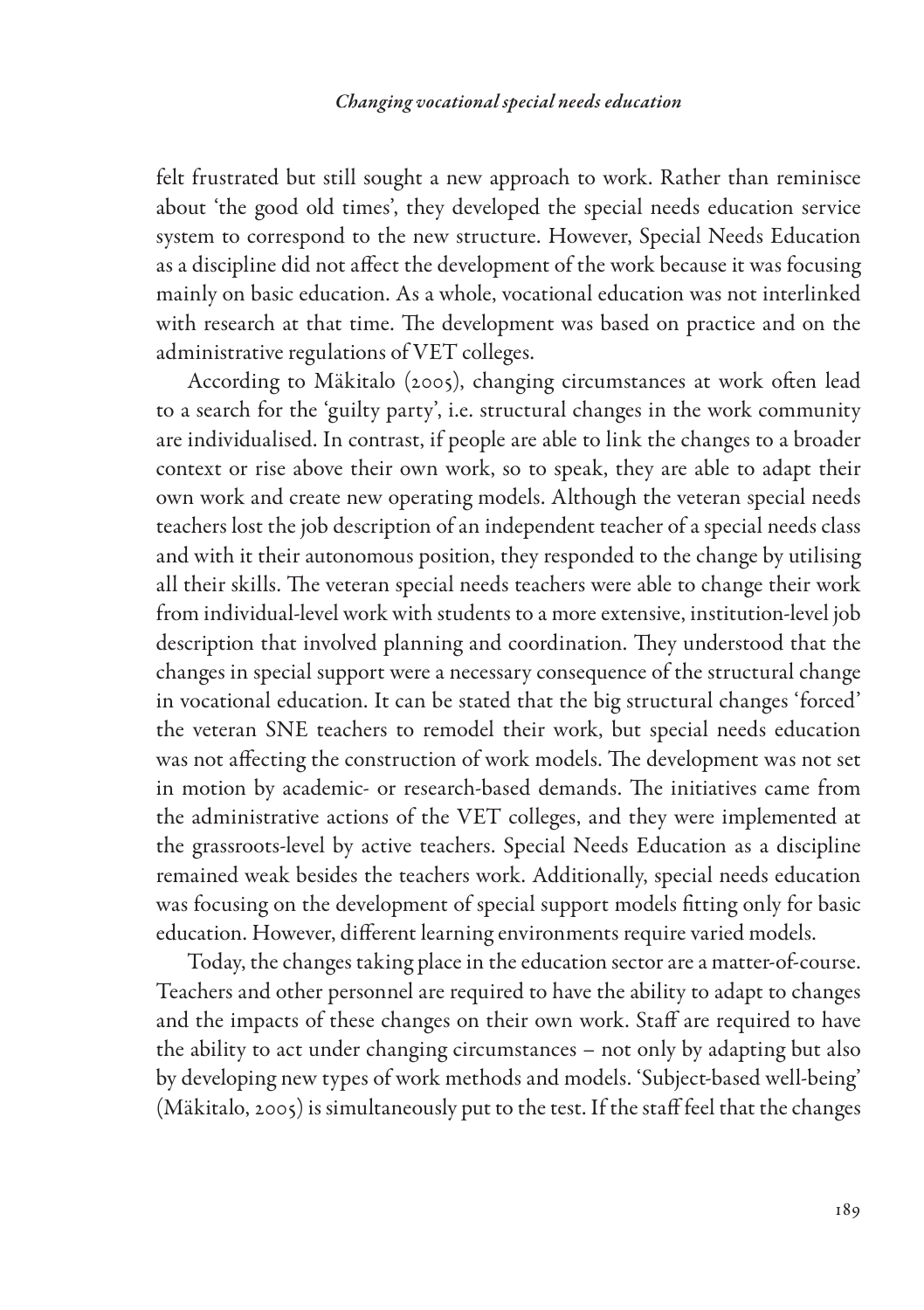felt frustrated but still sought a new approach to work. Rather than reminisce about 'the good old times', they developed the special needs education service system to correspond to the new structure. However, Special Needs Education as a discipline did not affect the development of the work because it was focusing mainly on basic education. As a whole, vocational education was not interlinked with research at that time. The development was based on practice and on the administrative regulations of VET colleges.

According to Mäkitalo (2005), changing circumstances at work often lead to a search for the 'guilty party', i.e. structural changes in the work community are individualised. In contrast, if people are able to link the changes to a broader context or rise above their own work, so to speak, they are able to adapt their own work and create new operating models. Although the veteran special needs teachers lost the job description of an independent teacher of a special needs class and with it their autonomous position, they responded to the change by utilising all their skills. The veteran special needs teachers were able to change their work from individual-level work with students to a more extensive, institution-level job description that involved planning and coordination. They understood that the changes in special support were a necessary consequence of the structural change in vocational education. It can be stated that the big structural changes 'forced' the veteran SNE teachers to remodel their work, but special needs education was not affecting the construction of work models. The development was not set in motion by academic- or research-based demands. The initiatives came from the administrative actions of the VET colleges, and they were implemented at the grassroots-level by active teachers. Special Needs Education as a discipline remained weak besides the teachers work. Additionally, special needs education was focusing on the development of special support models fitting only for basic education. However, different learning environments require varied models.

Today, the changes taking place in the education sector are a matter-of-course. Teachers and other personnel are required to have the ability to adapt to changes and the impacts of these changes on their own work. Staff are required to have the ability to act under changing circumstances – not only by adapting but also by developing new types of work methods and models. 'Subject-based well-being' (Mäkitalo, 2005) is simultaneously put to the test. If the staff feel that the changes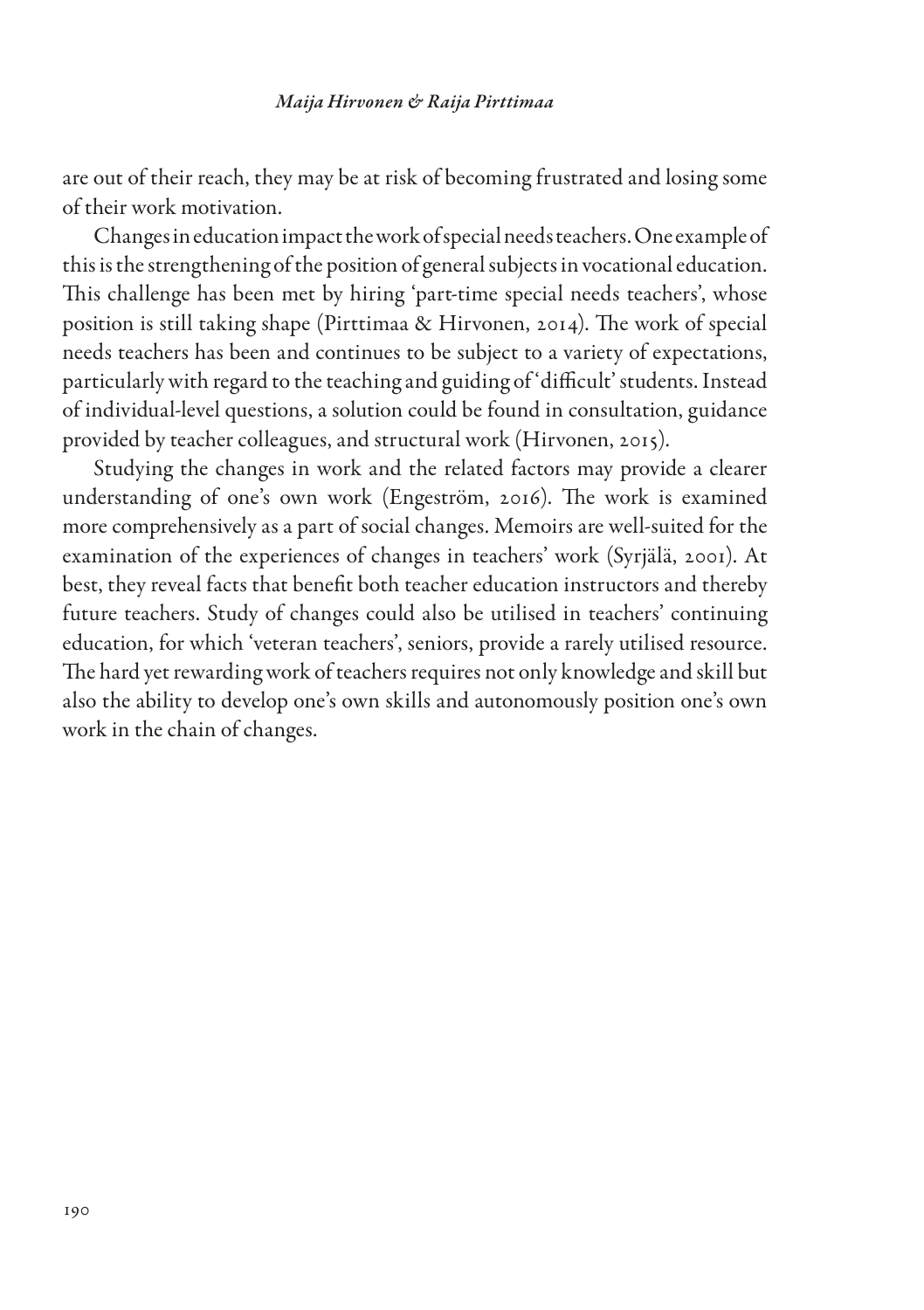are out of their reach, they may be at risk of becoming frustrated and losing some of their work motivation.

Changes in education impact the work of special needs teachers. One example of this is the strengthening of the position of general subjects in vocational education. This challenge has been met by hiring 'part-time special needs teachers', whose position is still taking shape (Pirttimaa & Hirvonen, 2014). The work of special needs teachers has been and continues to be subject to a variety of expectations, particularly with regard to the teaching and guiding of 'difficult' students. Instead of individual-level questions, a solution could be found in consultation, guidance provided by teacher colleagues, and structural work (Hirvonen, 2015).

Studying the changes in work and the related factors may provide a clearer understanding of one's own work (Engeström, 2016). The work is examined more comprehensively as a part of social changes. Memoirs are well-suited for the examination of the experiences of changes in teachers' work (Syrjälä, 2001). At best, they reveal facts that benefit both teacher education instructors and thereby future teachers. Study of changes could also be utilised in teachers' continuing education, for which 'veteran teachers', seniors, provide a rarely utilised resource. The hard yet rewarding work of teachers requires not only knowledge and skill but also the ability to develop one's own skills and autonomously position one's own work in the chain of changes.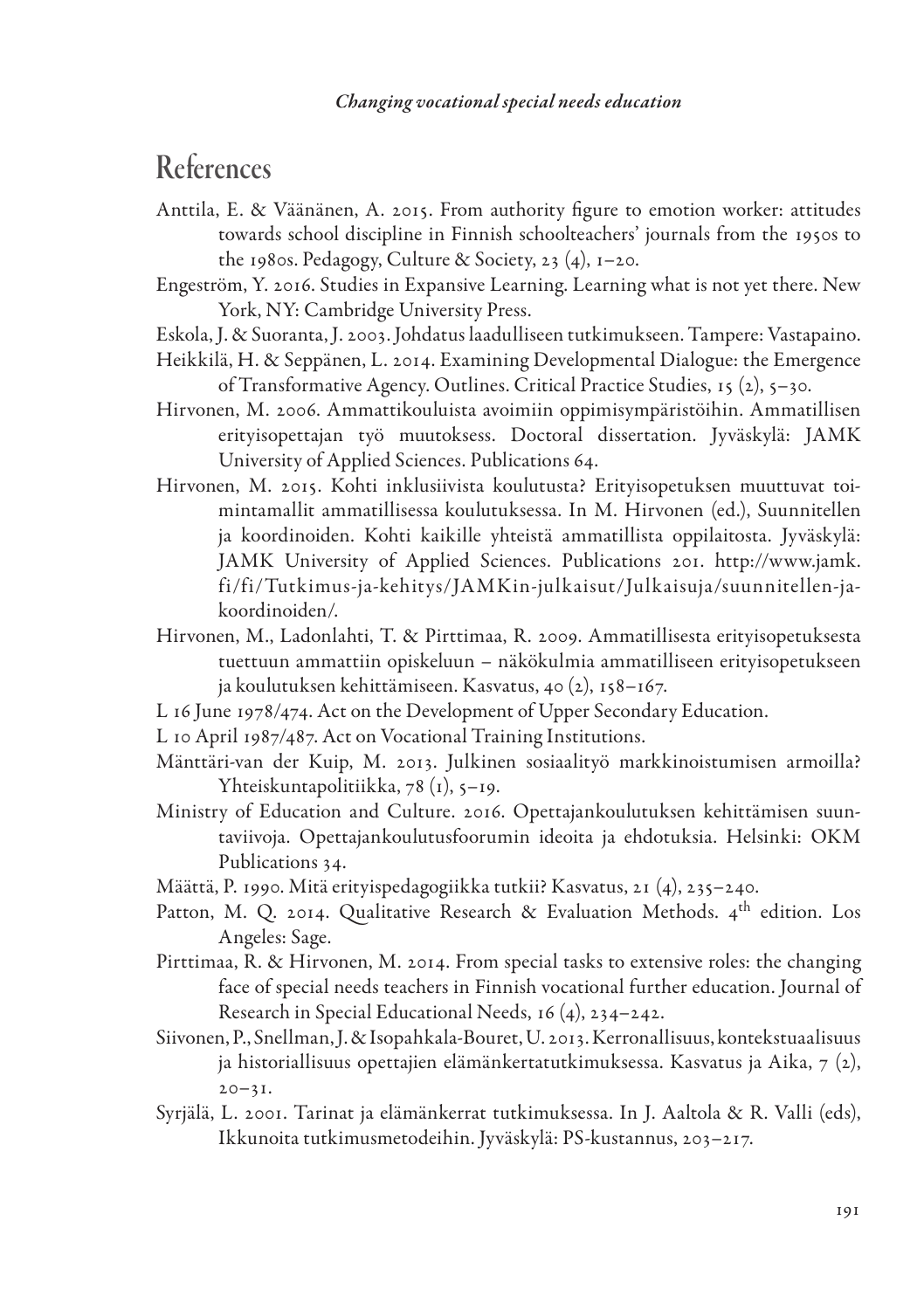# References

- Anttila, E. & Väänänen, A. 2015. From authority figure to emotion worker: attitudes towards school discipline in Finnish schoolteachers' journals from the 1950s to the 1980s. Pedagogy, Culture & Society, 23  $(4)$ , 1–20.
- Engeström, Y. 2016. Studies in Expansive Learning. Learning what is not yet there. New York, NY: Cambridge University Press.
- Eskola, J. & Suoranta, J. 2003. Johdatus laadulliseen tutkimukseen. Tampere: Vastapaino.
- Heikkilä, H. & Seppänen, L. 2014. Examining Developmental Dialogue: the Emergence of Transformative Agency. Outlines. Critical Practice Studies, 15 (2), 5–30.
- Hirvonen, M. 2006. Ammattikouluista avoimiin oppimisympäristöihin. Ammatillisen erityisopettajan työ muutoksess. Doctoral dissertation. Jyväskylä: JAMK University of Applied Sciences. Publications 64.
- Hirvonen, M. 2015. Kohti inklusiivista koulutusta? Erityisopetuksen muuttuvat toimintamallit ammatillisessa koulutuksessa. In M. Hirvonen (ed.), Suunnitellen ja koordinoiden. Kohti kaikille yhteistä ammatillista oppilaitosta. Jyväskylä: JAMK University of Applied Sciences. Publications 201. http://www.jamk. fi/fi/Tutkimus-ja-kehitys/JAMKin-julkaisut/Julkaisuja/suunnitellen-jakoordinoiden/.
- Hirvonen, M., Ladonlahti, T. & Pirttimaa, R. 2009. Ammatillisesta erityisopetuksesta tuettuun ammattiin opiskeluun – näkökulmia ammatilliseen erityisopetukseen ja koulutuksen kehittämiseen. Kasvatus, 40 (2), 158–167.
- L 16 June 1978/474. Act on the Development of Upper Secondary Education.
- L 10 April 1987/487. Act on Vocational Training Institutions.
- Mänttäri-van der Kuip, M. 2013. Julkinen sosiaalityö markkinoistumisen armoilla? Yhteiskuntapolitiikka, 78 (1), 5–19.
- Ministry of Education and Culture. 2016. Opettajankoulutuksen kehittämisen suuntaviivoja. Opettajankoulutusfoorumin ideoita ja ehdotuksia. Helsinki: OKM Publications 34.
- Määttä, P. 1990. Mitä erityispedagogiikka tutkii? Kasvatus, 21 (4), 235–240.
- Patton, M. Q. 2014. Qualitative Research & Evaluation Methods. 4<sup>th</sup> edition. Los Angeles: Sage.
- Pirttimaa, R. & Hirvonen, M. 2014. From special tasks to extensive roles: the changing face of special needs teachers in Finnish vocational further education. Journal of Research in Special Educational Needs, 16 (4), 234–242.
- Siivonen, P., Snellman, J. & Isopahkala-Bouret, U. 2013. Kerronallisuus, kontekstuaalisuus ja historiallisuus opettajien elämänkertatutkimuksessa. Kasvatus ja Aika, 7 (2),  $20 - 31.$
- Syrjälä, L. 2001. Tarinat ja elämänkerrat tutkimuksessa. In J. Aaltola & R. Valli (eds), Ikkunoita tutkimusmetodeihin. Jyväskylä: PS-kustannus, 203–217.